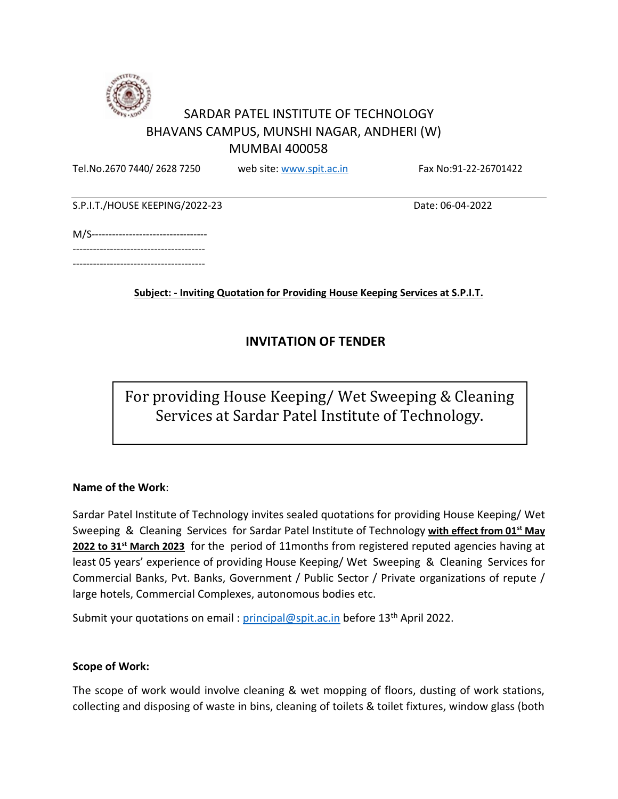

# SARDAR PATEL INSTITUTE OF TECHNOLOGY BHAVANS CAMPUS, MUNSHI NAGAR, ANDHERI (W) MUMBAI 400058

Tel.No.2670 7440/ 2628 7250 web site[: www.spit.ac.in](http://www.spit.ac.in/) Fax No:91-22-26701422

S.P.I.T./HOUSE KEEPING/2022-23 Date: 06-04-2022

|  | M/S---------------------------------- |  |
|--|---------------------------------------|--|
|  |                                       |  |
|  |                                       |  |

**Subject: - Inviting Quotation for Providing House Keeping Services at S.P.I.T.**

## **INVITATION OF TENDER**

For providing House Keeping/ Wet Sweeping & Cleaning Services at Sardar Patel Institute of Technology.

#### **Name of the Work**:

Sardar Patel Institute of Technology invites sealed quotations for providing House Keeping/ Wet Sweeping & Cleaning Services for Sardar Patel Institute of Technology **with effect from 01st May 2022 to 31st March 2023** for the period of 11months from registered reputed agencies having at least 05 years' experience of providing House Keeping/ Wet Sweeping & Cleaning Services for Commercial Banks, Pvt. Banks, Government / Public Sector / Private organizations of repute / large hotels, Commercial Complexes, autonomous bodies etc.

Submit your quotations on email : [principal@spit.ac.in](mailto:principal@spit.ac.in) before 13<sup>th</sup> April 2022.

#### **Scope of Work:**

The scope of work would involve cleaning & wet mopping of floors, dusting of work stations, collecting and disposing of waste in bins, cleaning of toilets & toilet fixtures, window glass (both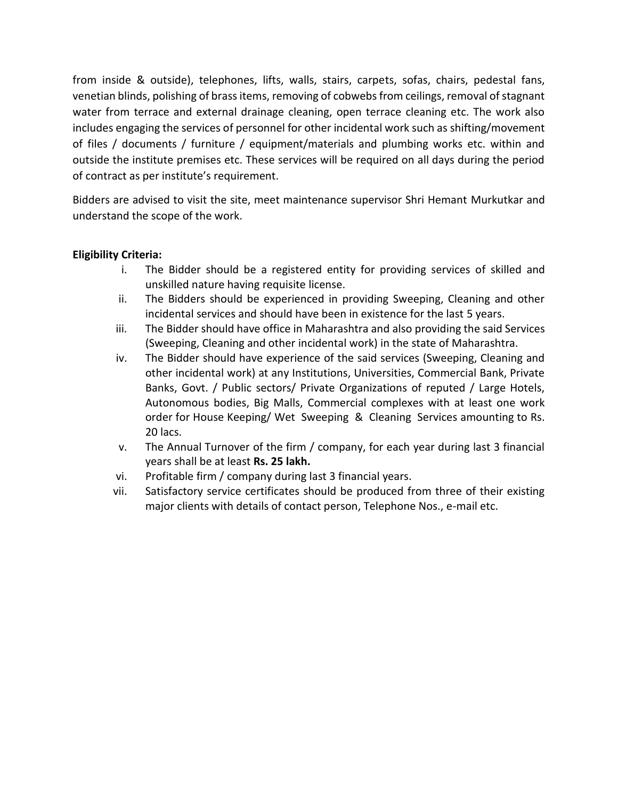from inside & outside), telephones, lifts, walls, stairs, carpets, sofas, chairs, pedestal fans, venetian blinds, polishing of brass items, removing of cobwebs from ceilings, removal of stagnant water from terrace and external drainage cleaning, open terrace cleaning etc. The work also includes engaging the services of personnel for other incidental work such as shifting/movement of files / documents / furniture / equipment/materials and plumbing works etc. within and outside the institute premises etc. These services will be required on all days during the period of contract as per institute's requirement.

Bidders are advised to visit the site, meet maintenance supervisor Shri Hemant Murkutkar and understand the scope of the work.

### **Eligibility Criteria:**

- i. The Bidder should be a registered entity for providing services of skilled and unskilled nature having requisite license.
- ii. The Bidders should be experienced in providing Sweeping, Cleaning and other incidental services and should have been in existence for the last 5 years.
- iii. The Bidder should have office in Maharashtra and also providing the said Services (Sweeping, Cleaning and other incidental work) in the state of Maharashtra.
- iv. The Bidder should have experience of the said services (Sweeping, Cleaning and other incidental work) at any Institutions, Universities, Commercial Bank, Private Banks, Govt. / Public sectors/ Private Organizations of reputed / Large Hotels, Autonomous bodies, Big Malls, Commercial complexes with at least one work order for House Keeping/ Wet Sweeping & Cleaning Services amounting to Rs. 20 lacs.
- v. The Annual Turnover of the firm / company, for each year during last 3 financial years shall be at least **Rs. 25 lakh.**
- vi. Profitable firm / company during last 3 financial years.
- vii. Satisfactory service certificates should be produced from three of their existing major clients with details of contact person, Telephone Nos., e-mail etc.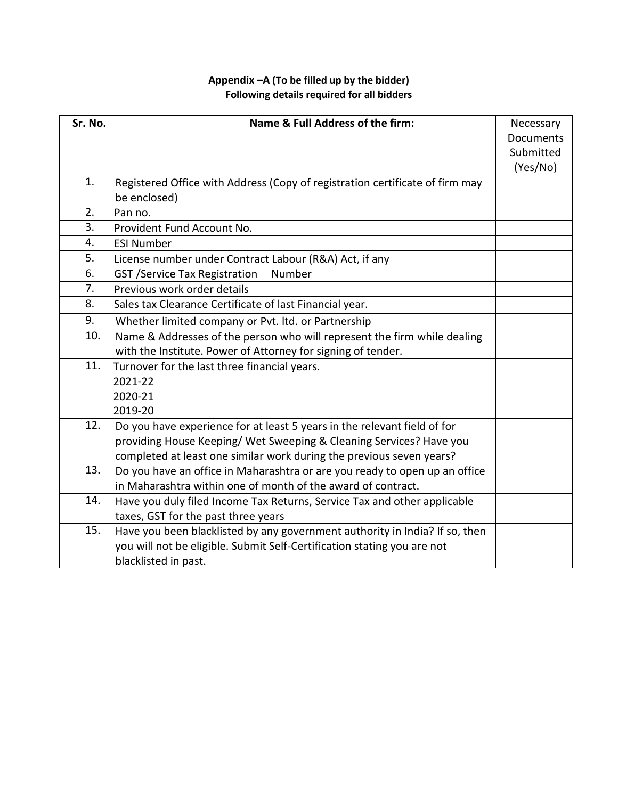### **Appendix –A (To be filled up by the bidder) Following details required for all bidders**

| Sr. No. | Name & Full Address of the firm:                                             | Necessary |
|---------|------------------------------------------------------------------------------|-----------|
|         |                                                                              | Documents |
|         |                                                                              | Submitted |
|         |                                                                              | (Yes/No)  |
| 1.      | Registered Office with Address (Copy of registration certificate of firm may |           |
|         | be enclosed)                                                                 |           |
| 2.      | Pan no.                                                                      |           |
| 3.      | Provident Fund Account No.                                                   |           |
| 4.      | <b>ESI Number</b>                                                            |           |
| 5.      | License number under Contract Labour (R&A) Act, if any                       |           |
| 6.      | <b>GST /Service Tax Registration</b><br>Number                               |           |
| 7.      | Previous work order details                                                  |           |
| 8.      | Sales tax Clearance Certificate of last Financial year.                      |           |
| 9.      | Whether limited company or Pvt. Itd. or Partnership                          |           |
| 10.     | Name & Addresses of the person who will represent the firm while dealing     |           |
|         | with the Institute. Power of Attorney for signing of tender.                 |           |
| 11.     | Turnover for the last three financial years.                                 |           |
|         | 2021-22                                                                      |           |
|         | 2020-21                                                                      |           |
|         | 2019-20                                                                      |           |
| 12.     | Do you have experience for at least 5 years in the relevant field of for     |           |
|         | providing House Keeping/ Wet Sweeping & Cleaning Services? Have you          |           |
|         | completed at least one similar work during the previous seven years?         |           |
| 13.     | Do you have an office in Maharashtra or are you ready to open up an office   |           |
|         | in Maharashtra within one of month of the award of contract.                 |           |
| 14.     | Have you duly filed Income Tax Returns, Service Tax and other applicable     |           |
|         | taxes, GST for the past three years                                          |           |
| 15.     | Have you been blacklisted by any government authority in India? If so, then  |           |
|         | you will not be eligible. Submit Self-Certification stating you are not      |           |
|         | blacklisted in past.                                                         |           |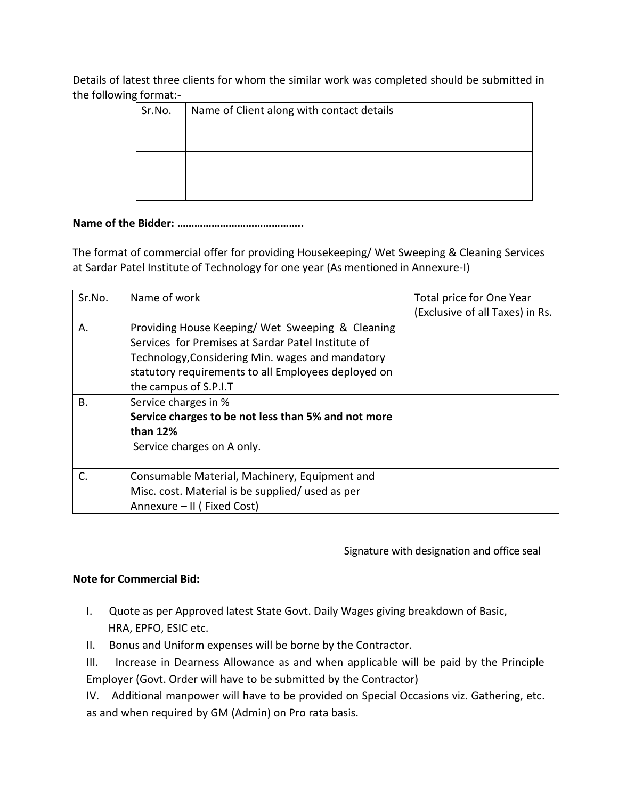Details of latest three clients for whom the similar work was completed should be submitted in the following format:-

| Sr.No. | Name of Client along with contact details |  |
|--------|-------------------------------------------|--|
|        |                                           |  |
|        |                                           |  |
|        |                                           |  |

#### **Name of the Bidder: ……………………………………..**

The format of commercial offer for providing Housekeeping/ Wet Sweeping & Cleaning Services at Sardar Patel Institute of Technology for one year (As mentioned in Annexure-I)

| Sr.No. | Name of work                                                                                                                                                                                                                              | Total price for One Year<br>(Exclusive of all Taxes) in Rs. |
|--------|-------------------------------------------------------------------------------------------------------------------------------------------------------------------------------------------------------------------------------------------|-------------------------------------------------------------|
| А.     | Providing House Keeping/Wet Sweeping & Cleaning<br>Services for Premises at Sardar Patel Institute of<br>Technology, Considering Min. wages and mandatory<br>statutory requirements to all Employees deployed on<br>the campus of S.P.I.T |                                                             |
| В.     | Service charges in %<br>Service charges to be not less than 5% and not more<br>than 12%<br>Service charges on A only.                                                                                                                     |                                                             |
| C.     | Consumable Material, Machinery, Equipment and<br>Misc. cost. Material is be supplied/ used as per<br>Annexure - II (Fixed Cost)                                                                                                           |                                                             |

Signature with designation and office seal

#### **Note for Commercial Bid:**

- I. Quote as per Approved latest State Govt. Daily Wages giving breakdown of Basic, HRA, EPFO, ESIC etc.
- II. Bonus and Uniform expenses will be borne by the Contractor.
- III. Increase in Dearness Allowance as and when applicable will be paid by the Principle Employer (Govt. Order will have to be submitted by the Contractor)
- IV. Additional manpower will have to be provided on Special Occasions viz. Gathering, etc. as and when required by GM (Admin) on Pro rata basis.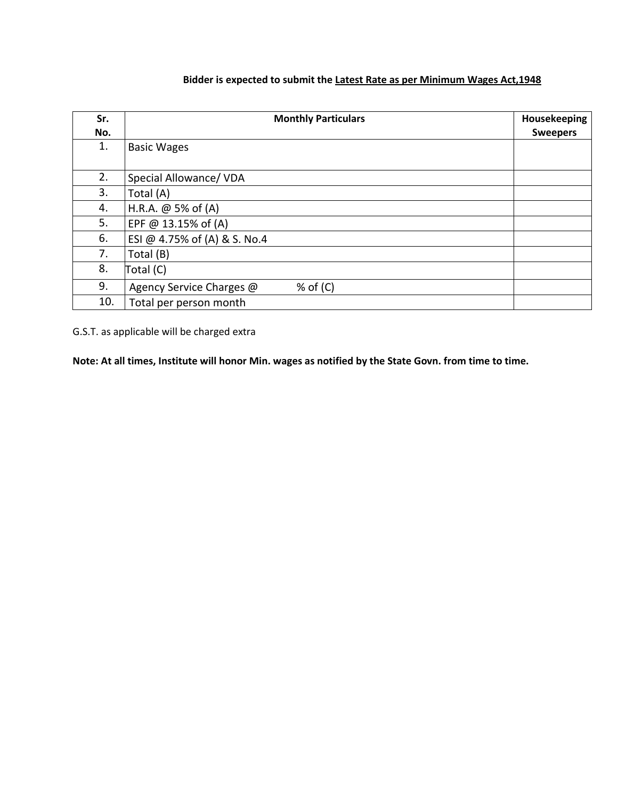### **Bidder is expected to submit the Latest Rate as per Minimum Wages Act,1948**

| Sr.<br>No. | <b>Monthly Particulars</b>             | Housekeeping<br><b>Sweepers</b> |
|------------|----------------------------------------|---------------------------------|
| 1.         | <b>Basic Wages</b>                     |                                 |
| 2.         | Special Allowance/ VDA                 |                                 |
| 3.         | Total (A)                              |                                 |
| 4.         | H.R.A. @ 5% of (A)                     |                                 |
| 5.         | EPF @ 13.15% of (A)                    |                                 |
| 6.         | ESI @ 4.75% of (A) & S. No.4           |                                 |
| 7.         | Total (B)                              |                                 |
| 8.         | Total (C)                              |                                 |
| 9.         | $%$ of (C)<br>Agency Service Charges @ |                                 |
| 10.        | Total per person month                 |                                 |

G.S.T. as applicable will be charged extra

**Note: At all times, Institute will honor Min. wages as notified by the State Govn. from time to time.**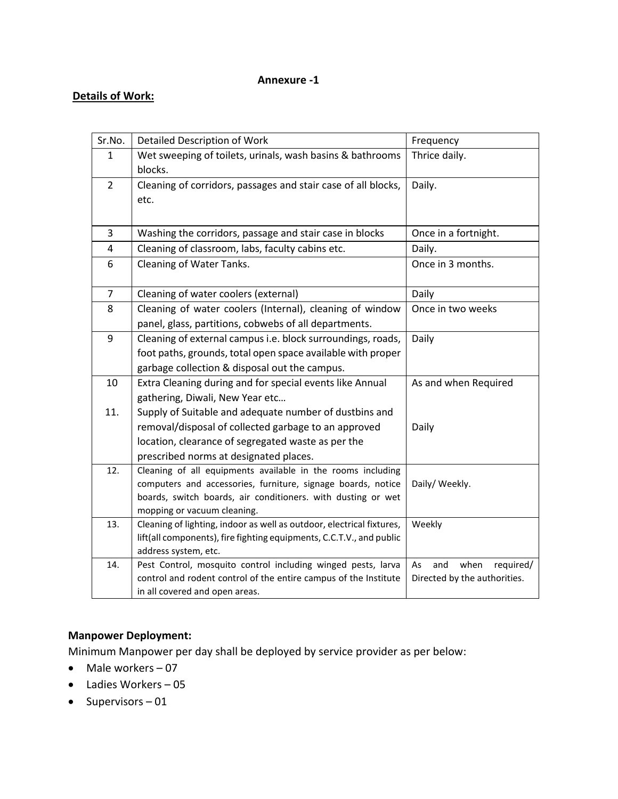### **Annexure -1**

### **Details of Work:**

| Sr.No.         | <b>Detailed Description of Work</b>                                                  | Frequency                      |
|----------------|--------------------------------------------------------------------------------------|--------------------------------|
| 1              | Wet sweeping of toilets, urinals, wash basins & bathrooms                            | Thrice daily.                  |
|                | blocks.                                                                              |                                |
| $\overline{2}$ | Cleaning of corridors, passages and stair case of all blocks,                        | Daily.                         |
|                | etc.                                                                                 |                                |
|                |                                                                                      |                                |
| 3              | Washing the corridors, passage and stair case in blocks                              | Once in a fortnight.           |
| 4              | Cleaning of classroom, labs, faculty cabins etc.                                     | Daily.                         |
| 6              | Cleaning of Water Tanks.                                                             | Once in 3 months.              |
|                |                                                                                      |                                |
| $\overline{7}$ | Cleaning of water coolers (external)                                                 | Daily                          |
| 8              | Cleaning of water coolers (Internal), cleaning of window                             | Once in two weeks              |
|                | panel, glass, partitions, cobwebs of all departments.                                |                                |
| 9              | Cleaning of external campus i.e. block surroundings, roads,                          | Daily                          |
|                | foot paths, grounds, total open space available with proper                          |                                |
|                | garbage collection & disposal out the campus.                                        |                                |
| 10             | Extra Cleaning during and for special events like Annual                             | As and when Required           |
|                | gathering, Diwali, New Year etc                                                      |                                |
| 11.            | Supply of Suitable and adequate number of dustbins and                               |                                |
|                | removal/disposal of collected garbage to an approved                                 | Daily                          |
|                | location, clearance of segregated waste as per the                                   |                                |
|                | prescribed norms at designated places.                                               |                                |
| 12.            | Cleaning of all equipments available in the rooms including                          |                                |
|                | computers and accessories, furniture, signage boards, notice                         | Daily/ Weekly.                 |
|                | boards, switch boards, air conditioners. with dusting or wet                         |                                |
|                | mopping or vacuum cleaning.                                                          |                                |
| 13.            | Cleaning of lighting, indoor as well as outdoor, electrical fixtures,                | Weekly                         |
|                | lift(all components), fire fighting equipments, C.C.T.V., and public                 |                                |
| 14.            | address system, etc.<br>Pest Control, mosquito control including winged pests, larva | when<br>required/<br>As<br>and |
|                | control and rodent control of the entire campus of the Institute                     | Directed by the authorities.   |
|                | in all covered and open areas.                                                       |                                |

### **Manpower Deployment:**

Minimum Manpower per day shall be deployed by service provider as per below:

- Male workers 07
- Ladies Workers 05
- Supervisors 01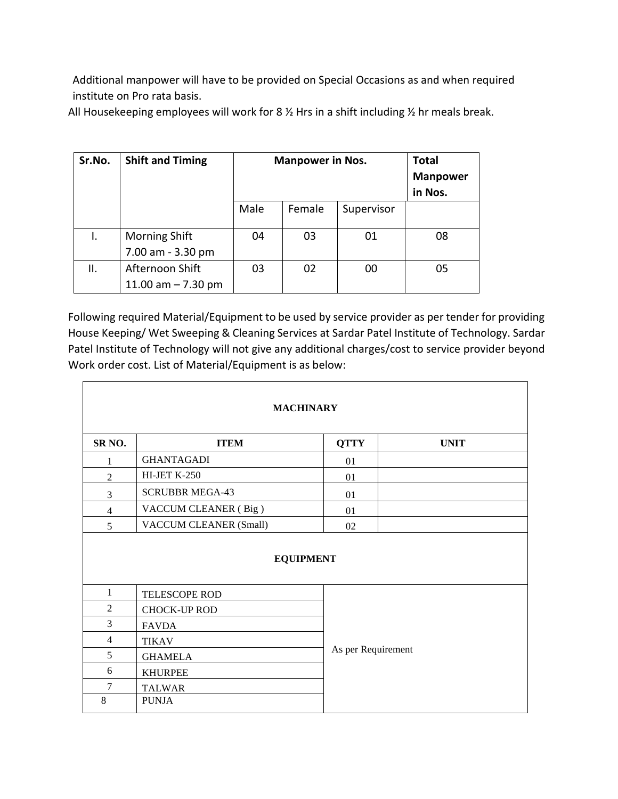Additional manpower will have to be provided on Special Occasions as and when required institute on Pro rata basis.

All Housekeeping employees will work for 8  $\frac{1}{2}$  Hrs in a shift including  $\frac{1}{2}$  hr meals break.

| Sr.No. | <b>Shift and Timing</b>                   | <b>Manpower in Nos.</b> |        | <b>Total</b><br><b>Manpower</b><br>in Nos. |    |
|--------|-------------------------------------------|-------------------------|--------|--------------------------------------------|----|
|        |                                           | Male                    | Female | Supervisor                                 |    |
|        | <b>Morning Shift</b><br>7.00 am - 3.30 pm | 04                      | 03     | 01                                         | 08 |
| Ш.     | Afternoon Shift<br>11.00 am $- 7.30$ pm   | 03                      | 02     | 00                                         | 05 |

 $\overline{\phantom{0}}$ 

Following required Material/Equipment to be used by service provider as per tender for providing House Keeping/ Wet Sweeping & Cleaning Services at Sardar Patel Institute of Technology. Sardar Patel Institute of Technology will not give any additional charges/cost to service provider beyond Work order cost. List of Material/Equipment is as below:

٦

| <b>MACHINARY</b>   |                               |                    |             |  |
|--------------------|-------------------------------|--------------------|-------------|--|
| SR <sub>NO</sub> . | <b>ITEM</b>                   | <b>QTTY</b>        | <b>UNIT</b> |  |
| 1                  | <b>GHANTAGADI</b>             | 01                 |             |  |
| $\overline{c}$     | <b>HI-JET K-250</b>           | 01                 |             |  |
| 3                  | <b>SCRUBBR MEGA-43</b>        | 01                 |             |  |
| 4                  | VACCUM CLEANER (Big)          | 01                 |             |  |
| 5                  | <b>VACCUM CLEANER (Small)</b> | 02                 |             |  |
|                    | <b>EQUIPMENT</b>              |                    |             |  |
| $\mathbf{1}$       | TELESCOPE ROD                 |                    |             |  |
| $\overline{2}$     | <b>CHOCK-UP ROD</b>           |                    |             |  |
| 3                  | <b>FAVDA</b>                  |                    |             |  |
| 4                  | <b>TIKAV</b>                  |                    |             |  |
| 5                  | <b>GHAMELA</b>                | As per Requirement |             |  |
| 6                  | <b>KHURPEE</b>                |                    |             |  |
| 7                  | <b>TALWAR</b>                 |                    |             |  |
| 8                  | <b>PUNJA</b>                  |                    |             |  |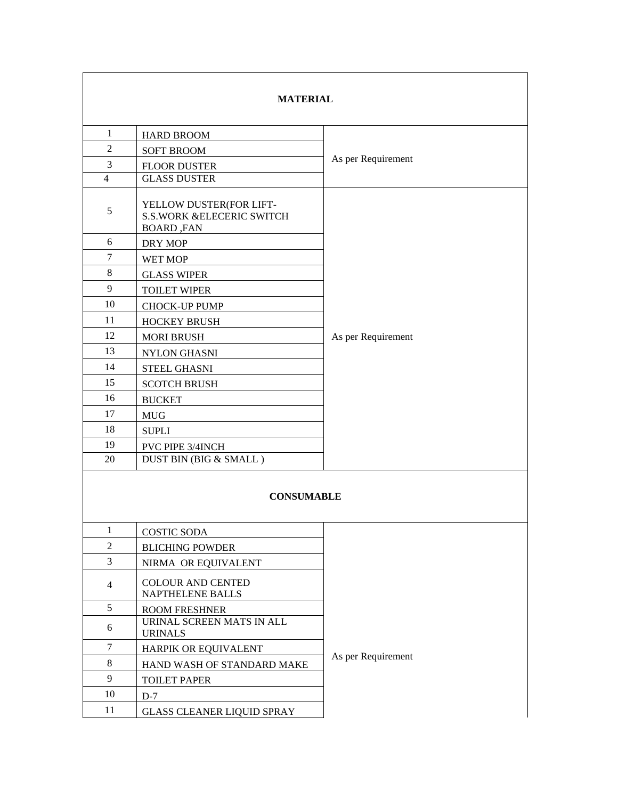| <b>MATERIAL</b>   |                                                                                      |                    |  |
|-------------------|--------------------------------------------------------------------------------------|--------------------|--|
| $\mathbf{1}$      | <b>HARD BROOM</b>                                                                    |                    |  |
| 2                 | <b>SOFT BROOM</b>                                                                    |                    |  |
| 3                 | <b>FLOOR DUSTER</b>                                                                  | As per Requirement |  |
| $\overline{4}$    | <b>GLASS DUSTER</b>                                                                  |                    |  |
| 5                 | YELLOW DUSTER(FOR LIFT-<br><b>S.S.WORK &amp;ELECERIC SWITCH</b><br><b>BOARD, FAN</b> |                    |  |
| 6                 | DRY MOP                                                                              |                    |  |
| $\tau$            | WET MOP                                                                              |                    |  |
| 8                 | <b>GLASS WIPER</b>                                                                   |                    |  |
| 9                 | <b>TOILET WIPER</b>                                                                  |                    |  |
| 10                | <b>CHOCK-UP PUMP</b>                                                                 |                    |  |
| 11                | <b>HOCKEY BRUSH</b>                                                                  |                    |  |
| 12                | <b>MORI BRUSH</b>                                                                    | As per Requirement |  |
| 13                | <b>NYLON GHASNI</b>                                                                  |                    |  |
| 14                | <b>STEEL GHASNI</b>                                                                  |                    |  |
| 15                | <b>SCOTCH BRUSH</b>                                                                  |                    |  |
| 16                | <b>BUCKET</b>                                                                        |                    |  |
| 17                | <b>MUG</b>                                                                           |                    |  |
| 18                | <b>SUPLI</b>                                                                         |                    |  |
| 19                | PVC PIPE 3/4INCH                                                                     |                    |  |
| 20                | DUST BIN (BIG & SMALL)                                                               |                    |  |
| <b>CONSUMABLE</b> |                                                                                      |                    |  |
| 1                 | <b>COSTIC SODA</b>                                                                   |                    |  |
| $\overline{2}$    | <b>BLICHING POWDER</b>                                                               |                    |  |
| 3                 | NIRMA OR EQUIVALENT                                                                  |                    |  |
| $\overline{4}$    | <b>COLOUR AND CENTED</b><br>NAPTHELENE BALLS                                         |                    |  |
| 5                 | <b>ROOM FRESHNER</b>                                                                 |                    |  |
| 6                 | URINAL SCREEN MATS IN ALL<br><b>URINALS</b>                                          |                    |  |
| $\tau$            | HARPIK OR EQUIVALENT                                                                 | As per Requirement |  |
| 8                 | HAND WASH OF STANDARD MAKE<br>9<br><b>TOILET PAPER</b>                               |                    |  |
|                   |                                                                                      |                    |  |
| 10                | $D-7$                                                                                |                    |  |
| 11                | <b>GLASS CLEANER LIQUID SPRAY</b>                                                    |                    |  |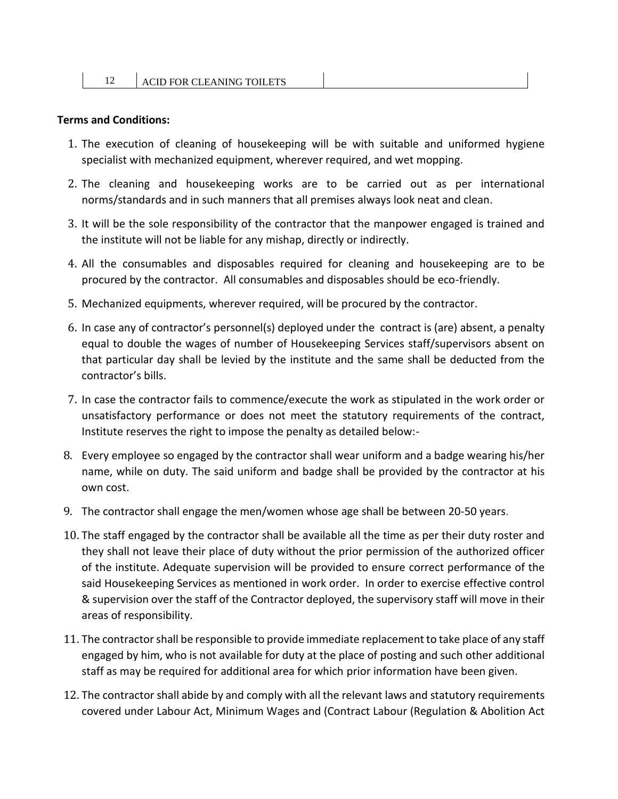#### **Terms and Conditions:**

- 1. The execution of cleaning of housekeeping will be with suitable and uniformed hygiene specialist with mechanized equipment, wherever required, and wet mopping.
- 2. The cleaning and housekeeping works are to be carried out as per international norms/standards and in such manners that all premises always look neat and clean.
- 3. It will be the sole responsibility of the contractor that the manpower engaged is trained and the institute will not be liable for any mishap, directly or indirectly.
- 4. All the consumables and disposables required for cleaning and housekeeping are to be procured by the contractor. All consumables and disposables should be eco-friendly.
- 5. Mechanized equipments, wherever required, will be procured by the contractor.
- 6. In case any of contractor's personnel(s) deployed under the contract is (are) absent, a penalty equal to double the wages of number of Housekeeping Services staff/supervisors absent on that particular day shall be levied by the institute and the same shall be deducted from the contractor's bills.
- 7. In case the contractor fails to commence/execute the work as stipulated in the work order or unsatisfactory performance or does not meet the statutory requirements of the contract, Institute reserves the right to impose the penalty as detailed below:-
- 8. Every employee so engaged by the contractor shall wear uniform and a badge wearing his/her name, while on duty. The said uniform and badge shall be provided by the contractor at his own cost.
- 9. The contractor shall engage the men/women whose age shall be between 20-50 years.
- 10. The staff engaged by the contractor shall be available all the time as per their duty roster and they shall not leave their place of duty without the prior permission of the authorized officer of the institute. Adequate supervision will be provided to ensure correct performance of the said Housekeeping Services as mentioned in work order. In order to exercise effective control & supervision over the staff of the Contractor deployed, the supervisory staff will move in their areas of responsibility.
- 11. The contractor shall be responsible to provide immediate replacement to take place of any staff engaged by him, who is not available for duty at the place of posting and such other additional staff as may be required for additional area for which prior information have been given.
- 12. The contractor shall abide by and comply with all the relevant laws and statutory requirements covered under Labour Act, Minimum Wages and (Contract Labour (Regulation & Abolition Act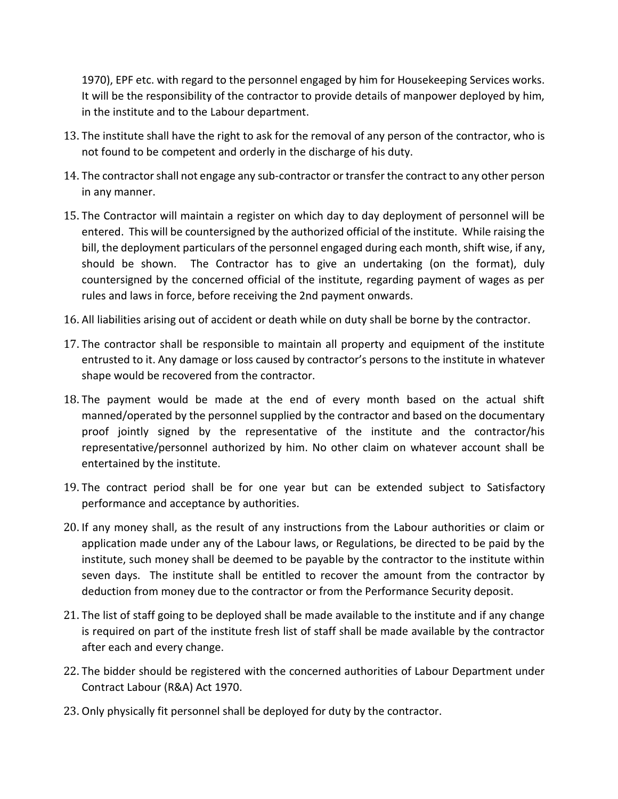1970), EPF etc. with regard to the personnel engaged by him for Housekeeping Services works. It will be the responsibility of the contractor to provide details of manpower deployed by him, in the institute and to the Labour department.

- 13. The institute shall have the right to ask for the removal of any person of the contractor, who is not found to be competent and orderly in the discharge of his duty.
- 14. The contractor shall not engage any sub-contractor or transfer the contract to any other person in any manner.
- 15. The Contractor will maintain a register on which day to day deployment of personnel will be entered. This will be countersigned by the authorized official of the institute. While raising the bill, the deployment particulars of the personnel engaged during each month, shift wise, if any, should be shown. The Contractor has to give an undertaking (on the format), duly countersigned by the concerned official of the institute, regarding payment of wages as per rules and laws in force, before receiving the 2nd payment onwards.
- 16. All liabilities arising out of accident or death while on duty shall be borne by the contractor.
- 17. The contractor shall be responsible to maintain all property and equipment of the institute entrusted to it. Any damage or loss caused by contractor's persons to the institute in whatever shape would be recovered from the contractor.
- 18. The payment would be made at the end of every month based on the actual shift manned/operated by the personnel supplied by the contractor and based on the documentary proof jointly signed by the representative of the institute and the contractor/his representative/personnel authorized by him. No other claim on whatever account shall be entertained by the institute.
- 19. The contract period shall be for one year but can be extended subject to Satisfactory performance and acceptance by authorities.
- 20. If any money shall, as the result of any instructions from the Labour authorities or claim or application made under any of the Labour laws, or Regulations, be directed to be paid by the institute, such money shall be deemed to be payable by the contractor to the institute within seven days. The institute shall be entitled to recover the amount from the contractor by deduction from money due to the contractor or from the Performance Security deposit.
- 21. The list of staff going to be deployed shall be made available to the institute and if any change is required on part of the institute fresh list of staff shall be made available by the contractor after each and every change.
- 22. The bidder should be registered with the concerned authorities of Labour Department under Contract Labour (R&A) Act 1970.
- 23. Only physically fit personnel shall be deployed for duty by the contractor.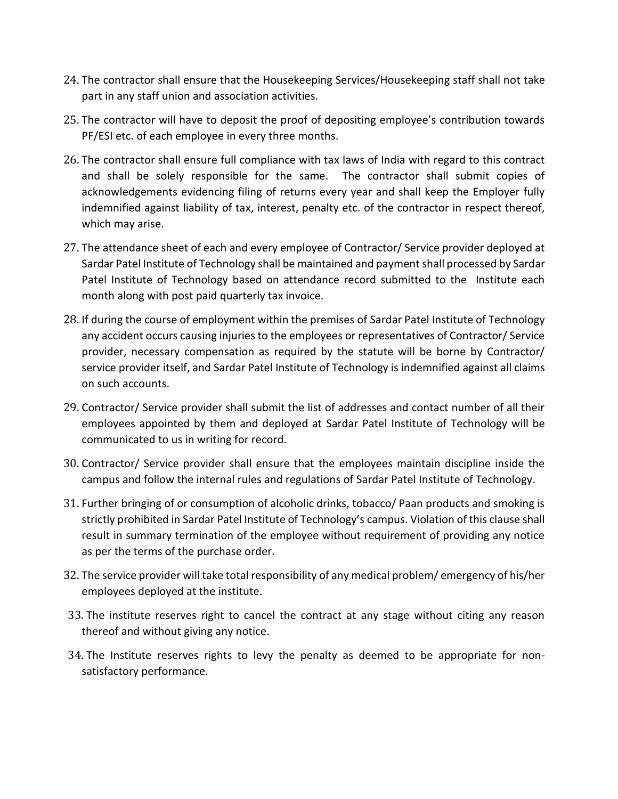- 24. The contractor shall ensure that the Housekeeping Services/Housekeeping staff shall not take part in any staff union and association activities.
- 25. The contractor will have to deposit the proof of depositing employee's contribution towards PF/ESI etc. of each employee in every three months.
- 26. The contractor shall ensure full compliance with tax laws of India with regard to this contract and shall be solely responsible for the same. The contractor shall submit copies of acknowledgements evidencing filing of returns every year and shall keep the Employer fully indemnified against liability of tax, interest, penalty etc. of the contractor in respect thereof, which may arise.
- 27. The attendance sheet of each and every employee of Contractor/ Service provider deployed at Sardar Patel Institute of Technology shall be maintained and payment shall processed by Sardar Patel Institute of Technology based on attendance record submitted to the Institute each month along with post paid quarterly tax invoice.
- 28. If during the course of employment within the premises of Sardar Patel Institute of Technology any accident occurs causing injuries to the employees or representatives of Contractor/ Service provider, necessary compensation as required by the statute will be borne by Contractor/ service provider itself, and Sardar Patel Institute of Technology is indemnified against all claims on such accounts.
- 29. Contractor/ Service provider shall submit the list of addresses and contact number of all their employees appointed by them and deployed at Sardar Patel Institute of Technology will be communicated to us in writing for record.
- 30. Contractor/ Service provider shall ensure that the employees maintain discipline inside the campus and follow the internal rules and regulations of Sardar Patel Institute of Technology.
- 31. Further bringing of or consumption of alcoholic drinks, tobacco/ Paan products and smoking is strictly prohibited in Sardar Patel Institute of Technology's campus. Violation of this clause shall result in summary termination of the employee without requirement of providing any notice as per the terms of the purchase order.
- 32. The service provider will take total responsibility of any medical problem/ emergency of his/her employees deployed at the institute.
- 33. The institute reserves right to cancel the contract at any stage without citing any reason thereof and without giving any notice.
- 34. The Institute reserves rights to levy the penalty as deemed to be appropriate for nonsatisfactory performance.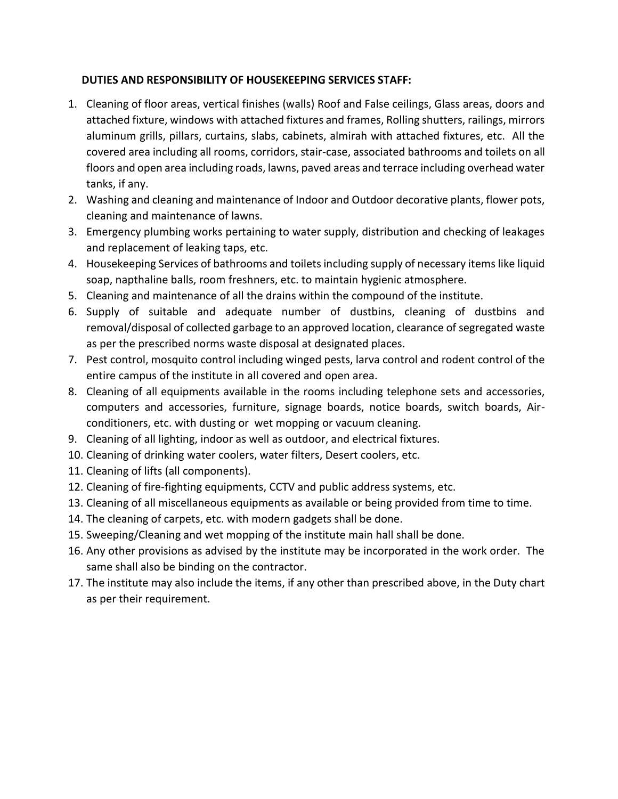### **DUTIES AND RESPONSIBILITY OF HOUSEKEEPING SERVICES STAFF:**

- 1. Cleaning of floor areas, vertical finishes (walls) Roof and False ceilings, Glass areas, doors and attached fixture, windows with attached fixtures and frames, Rolling shutters, railings, mirrors aluminum grills, pillars, curtains, slabs, cabinets, almirah with attached fixtures, etc. All the covered area including all rooms, corridors, stair-case, associated bathrooms and toilets on all floors and open area including roads, lawns, paved areas and terrace including overhead water tanks, if any.
- 2. Washing and cleaning and maintenance of Indoor and Outdoor decorative plants, flower pots, cleaning and maintenance of lawns.
- 3. Emergency plumbing works pertaining to water supply, distribution and checking of leakages and replacement of leaking taps, etc.
- 4. Housekeeping Services of bathrooms and toilets including supply of necessary items like liquid soap, napthaline balls, room freshners, etc. to maintain hygienic atmosphere.
- 5. Cleaning and maintenance of all the drains within the compound of the institute.
- 6. Supply of suitable and adequate number of dustbins, cleaning of dustbins and removal/disposal of collected garbage to an approved location, clearance of segregated waste as per the prescribed norms waste disposal at designated places.
- 7. Pest control, mosquito control including winged pests, larva control and rodent control of the entire campus of the institute in all covered and open area.
- 8. Cleaning of all equipments available in the rooms including telephone sets and accessories, computers and accessories, furniture, signage boards, notice boards, switch boards, Airconditioners, etc. with dusting or wet mopping or vacuum cleaning.
- 9. Cleaning of all lighting, indoor as well as outdoor, and electrical fixtures.
- 10. Cleaning of drinking water coolers, water filters, Desert coolers, etc.
- 11. Cleaning of lifts (all components).
- 12. Cleaning of fire-fighting equipments, CCTV and public address systems, etc.
- 13. Cleaning of all miscellaneous equipments as available or being provided from time to time.
- 14. The cleaning of carpets, etc. with modern gadgets shall be done.
- 15. Sweeping/Cleaning and wet mopping of the institute main hall shall be done.
- 16. Any other provisions as advised by the institute may be incorporated in the work order. The same shall also be binding on the contractor.
- 17. The institute may also include the items, if any other than prescribed above, in the Duty chart as per their requirement.